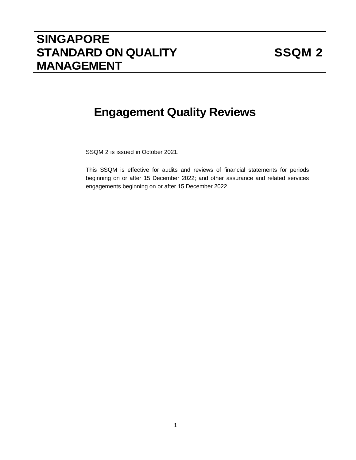# **SINGAPORE STANDARD ON QUALITY MANAGEMENT**

# **Engagement Quality Reviews**

SSQM 2 is issued in October 2021.

This SSQM is effective for audits and reviews of financial statements for periods beginning on or after 15 December 2022; and other assurance and related services engagements beginning on or after 15 December 2022.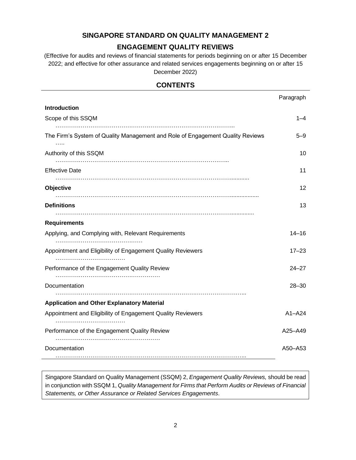## **SINGAPORE STANDARD ON QUALITY MANAGEMENT 2**

# **ENGAGEMENT QUALITY REVIEWS**

(Effective for audits and reviews of financial statements for periods beginning on or after 15 December 2022; and effective for other assurance and related services engagements beginning on or after 15 December 2022)

# **CONTENTS**

|                                                                                    | Paragraph  |
|------------------------------------------------------------------------------------|------------|
| <b>Introduction</b>                                                                |            |
| Scope of this SSQM                                                                 | 1–4        |
| The Firm's System of Quality Management and Role of Engagement Quality Reviews<br> | $5 - 9$    |
| Authority of this SSQM                                                             | 10         |
| <b>Effective Date</b>                                                              | 11         |
| <b>Objective</b>                                                                   | 12         |
| <b>Definitions</b>                                                                 | 13         |
| <b>Requirements</b>                                                                |            |
| Applying, and Complying with, Relevant Requirements                                | $14 - 16$  |
| Appointment and Eligibility of Engagement Quality Reviewers                        | $17 - 23$  |
| Performance of the Engagement Quality Review                                       | $24 - 27$  |
| Documentation                                                                      | $28 - 30$  |
| <b>Application and Other Explanatory Material</b>                                  |            |
| Appointment and Eligibility of Engagement Quality Reviewers                        | $A1 - A24$ |
| Performance of the Engagement Quality Review                                       | A25-A49    |
| Documentation                                                                      | A50-A53    |

Singapore Standard on Quality Management (SSQM) 2, *Engagement Quality Reviews,* should be read in conjunction with SSQM 1, *Quality Management for Firms that Perform Audits or Reviews of Financial Statements, or Other Assurance or Related Services Engagements*.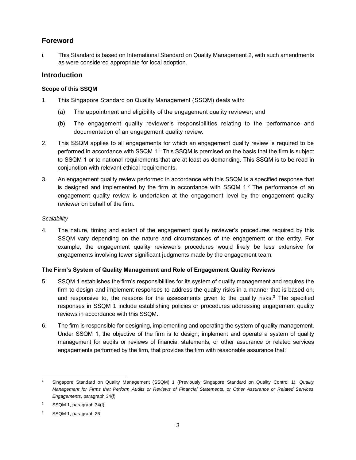# **Foreword**

i. This Standard is based on International Standard on Quality Management 2, with such amendments as were considered appropriate for local adoption.

## **Introduction**

## **Scope of this SSQM**

- 1. This Singapore Standard on Quality Management (SSQM) deals with:
	- (a) The appointment and eligibility of the engagement quality reviewer; and
	- (b) The engagement quality reviewer's responsibilities relating to the performance and documentation of an engagement quality review.
- 2. This SSQM applies to all engagements for which an engagement quality review is required to be performed in accordance with SSQM 1.<sup>1</sup> This SSQM is premised on the basis that the firm is subject to SSQM 1 or to national requirements that are at least as demanding. This SSQM is to be read in conjunction with relevant ethical requirements.
- 3. An engagement quality review performed in accordance with this SSQM is a specified response that is designed and implemented by the firm in accordance with  $SSQM$  1.<sup>2</sup> The performance of an engagement quality review is undertaken at the engagement level by the engagement quality reviewer on behalf of the firm.

## *Scalability*

4. The nature, timing and extent of the engagement quality reviewer's procedures required by this SSQM vary depending on the nature and circumstances of the engagement or the entity. For example, the engagement quality reviewer's procedures would likely be less extensive for engagements involving fewer significant judgments made by the engagement team.

#### **The Firm's System of Quality Management and Role of Engagement Quality Reviews**

- 5. SSQM 1 establishes the firm's responsibilities for its system of quality management and requires the firm to design and implement responses to address the quality risks in a manner that is based on, and responsive to, the reasons for the assessments given to the quality risks. $3$  The specified responses in SSQM 1 include establishing policies or procedures addressing engagement quality reviews in accordance with this SSQM.
- 6. The firm is responsible for designing, implementing and operating the system of quality management. Under SSQM 1, the objective of the firm is to design, implement and operate a system of quality management for audits or reviews of financial statements, or other assurance or related services engagements performed by the firm, that provides the firm with reasonable assurance that:

<sup>1</sup> Singapore Standard on Quality Management (SSQM) 1 (Previously Singapore Standard on Quality Control 1), *Quality Management for Firms that Perform Audits or Reviews of Financial Statements, or Other Assurance or Related Services Engagements*, paragraph 34(f)

<sup>2</sup> SSQM 1, paragraph 34(f)

<sup>3</sup> SSQM 1, paragraph 26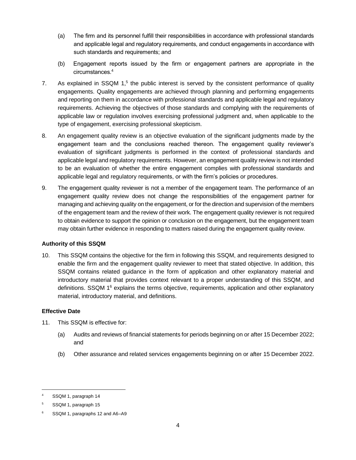- (a) The firm and its personnel fulfill their responsibilities in accordance with professional standards and applicable legal and regulatory requirements, and conduct engagements in accordance with such standards and requirements; and
- (b) Engagement reports issued by the firm or engagement partners are appropriate in the circumstances.<sup>4</sup>
- 7. As explained in SSQM 1,<sup>5</sup> the public interest is served by the consistent performance of quality engagements. Quality engagements are achieved through planning and performing engagements and reporting on them in accordance with professional standards and applicable legal and regulatory requirements. Achieving the objectives of those standards and complying with the requirements of applicable law or regulation involves exercising professional judgment and, when applicable to the type of engagement, exercising professional skepticism.
- 8. An engagement quality review is an objective evaluation of the significant judgments made by the engagement team and the conclusions reached thereon. The engagement quality reviewer's evaluation of significant judgments is performed in the context of professional standards and applicable legal and regulatory requirements. However, an engagement quality review is not intended to be an evaluation of whether the entire engagement complies with professional standards and applicable legal and regulatory requirements, or with the firm's policies or procedures.
- 9. The engagement quality reviewer is not a member of the engagement team. The performance of an engagement quality review does not change the responsibilities of the engagement partner for managing and achieving quality on the engagement, or for the direction and supervision of the members of the engagement team and the review of their work. The engagement quality reviewer is not required to obtain evidence to support the opinion or conclusion on the engagement, but the engagement team may obtain further evidence in responding to matters raised during the engagement quality review.

#### **Authority of this SSQM**

10. This SSQM contains the objective for the firm in following this SSQM, and requirements designed to enable the firm and the engagement quality reviewer to meet that stated objective. In addition, this SSQM contains related guidance in the form of application and other explanatory material and introductory material that provides context relevant to a proper understanding of this SSQM, and definitions. SSQM  $1^6$  explains the terms objective, requirements, application and other explanatory material, introductory material, and definitions.

#### **Effective Date**

- 11. This SSQM is effective for:
	- (a) Audits and reviews of financial statements for periods beginning on or after 15 December 2022; and
	- (b) Other assurance and related services engagements beginning on or after 15 December 2022.

SSQM 1, paragraph 14

<sup>5</sup> SSQM 1, paragraph 15

<sup>6</sup> SSQM 1, paragraphs 12 and A6–A9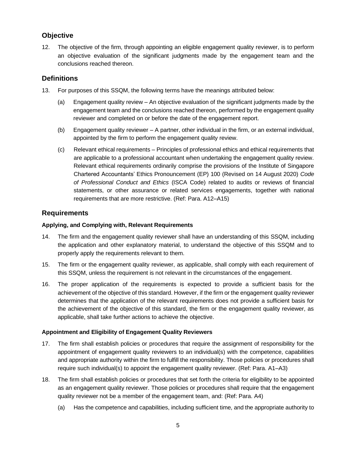# **Objective**

12. The objective of the firm, through appointing an eligible engagement quality reviewer, is to perform an objective evaluation of the significant judgments made by the engagement team and the conclusions reached thereon.

# **Definitions**

- 13. For purposes of this SSQM, the following terms have the meanings attributed below:
	- (a) Engagement quality review An objective evaluation of the significant judgments made by the engagement team and the conclusions reached thereon, performed by the engagement quality reviewer and completed on or before the date of the engagement report.
	- (b) Engagement quality reviewer A partner, other individual in the firm, or an external individual, appointed by the firm to perform the engagement quality review.
	- (c) Relevant ethical requirements Principles of professional ethics and ethical requirements that are applicable to a professional accountant when undertaking the engagement quality review. Relevant ethical requirements ordinarily comprise the provisions of the Institute of Singapore Chartered Accountants' Ethics Pronouncement (EP) 100 (Revised on 14 August 2020) *Code of Professional Conduct and Ethics* (ISCA Code) related to audits or reviews of financial statements, or other assurance or related services engagements, together with national requirements that are more restrictive. (Ref: Para. A12–A15)

# **Requirements**

## **Applying, and Complying with, Relevant Requirements**

- 14. The firm and the engagement quality reviewer shall have an understanding of this SSQM, including the application and other explanatory material, to understand the objective of this SSQM and to properly apply the requirements relevant to them.
- 15. The firm or the engagement quality reviewer, as applicable, shall comply with each requirement of this SSQM, unless the requirement is not relevant in the circumstances of the engagement.
- 16. The proper application of the requirements is expected to provide a sufficient basis for the achievement of the objective of this standard. However, if the firm or the engagement quality reviewer determines that the application of the relevant requirements does not provide a sufficient basis for the achievement of the objective of this standard, the firm or the engagement quality reviewer, as applicable, shall take further actions to achieve the objective.

#### **Appointment and Eligibility of Engagement Quality Reviewers**

- 17. The firm shall establish policies or procedures that require the assignment of responsibility for the appointment of engagement quality reviewers to an individual(s) with the competence, capabilities and appropriate authority within the firm to fulfill the responsibility. Those policies or procedures shall require such individual(s) to appoint the engagement quality reviewer. (Ref: Para. A1–A3)
- 18. The firm shall establish policies or procedures that set forth the criteria for eligibility to be appointed as an engagement quality reviewer. Those policies or procedures shall require that the engagement quality reviewer not be a member of the engagement team, and: (Ref: Para. A4)
	- (a) Has the competence and capabilities, including sufficient time, and the appropriate authority to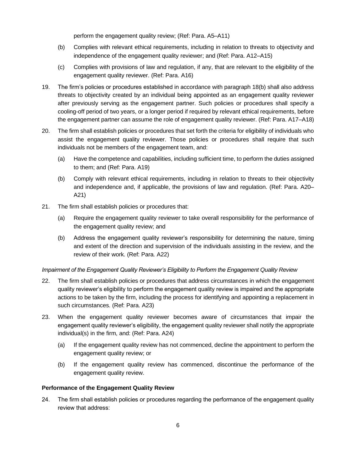perform the engagement quality review; (Ref: Para. A5–A11)

- (b) Complies with relevant ethical requirements, including in relation to threats to objectivity and independence of the engagement quality reviewer; and (Ref: Para. A12–A15)
- (c) Complies with provisions of law and regulation, if any, that are relevant to the eligibility of the engagement quality reviewer. (Ref: Para. A16)
- 19. The firm's policies or procedures established in accordance with paragraph 18(b) shall also address threats to objectivity created by an individual being appointed as an engagement quality reviewer after previously serving as the engagement partner. Such policies or procedures shall specify a cooling-off period of two years, or a longer period if required by relevant ethical requirements, before the engagement partner can assume the role of engagement quality reviewer. (Ref: Para. A17–A18)
- 20. The firm shall establish policies or procedures that set forth the criteria for eligibility of individuals who assist the engagement quality reviewer. Those policies or procedures shall require that such individuals not be members of the engagement team, and:
	- (a) Have the competence and capabilities, including sufficient time, to perform the duties assigned to them; and (Ref: Para. A19)
	- (b) Comply with relevant ethical requirements, including in relation to threats to their objectivity and independence and, if applicable, the provisions of law and regulation. (Ref: Para. A20– A21)
- 21. The firm shall establish policies or procedures that:
	- (a) Require the engagement quality reviewer to take overall responsibility for the performance of the engagement quality review; and
	- (b) Address the engagement quality reviewer's responsibility for determining the nature, timing and extent of the direction and supervision of the individuals assisting in the review, and the review of their work. (Ref: Para. A22)

#### *Impairment of the Engagement Quality Reviewer's Eligibility to Perform the Engagement Quality Review*

- 22. The firm shall establish policies or procedures that address circumstances in which the engagement quality reviewer's eligibility to perform the engagement quality review is impaired and the appropriate actions to be taken by the firm, including the process for identifying and appointing a replacement in such circumstances. (Ref: Para. A23)
- 23. When the engagement quality reviewer becomes aware of circumstances that impair the engagement quality reviewer's eligibility, the engagement quality reviewer shall notify the appropriate individual(s) in the firm, and: (Ref: Para. A24)
	- (a) If the engagement quality review has not commenced, decline the appointment to perform the engagement quality review; or
	- (b) If the engagement quality review has commenced, discontinue the performance of the engagement quality review.

#### **Performance of the Engagement Quality Review**

24. The firm shall establish policies or procedures regarding the performance of the engagement quality review that address: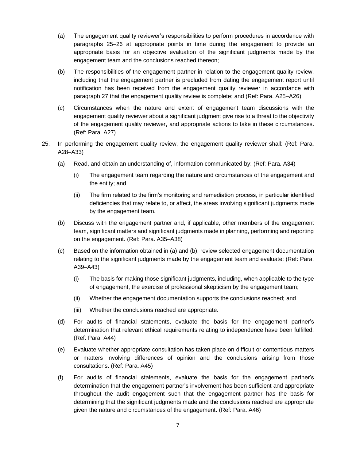- (a) The engagement quality reviewer's responsibilities to perform procedures in accordance with paragraphs 25–26 at appropriate points in time during the engagement to provide an appropriate basis for an objective evaluation of the significant judgments made by the engagement team and the conclusions reached thereon;
- (b) The responsibilities of the engagement partner in relation to the engagement quality review, including that the engagement partner is precluded from dating the engagement report until notification has been received from the engagement quality reviewer in accordance with paragraph 27 that the engagement quality review is complete; and (Ref: Para. A25–A26)
- (c) Circumstances when the nature and extent of engagement team discussions with the engagement quality reviewer about a significant judgment give rise to a threat to the objectivity of the engagement quality reviewer, and appropriate actions to take in these circumstances. (Ref: Para. A27)
- 25. In performing the engagement quality review, the engagement quality reviewer shall: (Ref: Para. A28–A33)
	- (a) Read, and obtain an understanding of, information communicated by: (Ref: Para. A34)
		- (i) The engagement team regarding the nature and circumstances of the engagement and the entity; and
		- (ii) The firm related to the firm's monitoring and remediation process, in particular identified deficiencies that may relate to, or affect, the areas involving significant judgments made by the engagement team.
	- (b) Discuss with the engagement partner and, if applicable, other members of the engagement team, significant matters and significant judgments made in planning, performing and reporting on the engagement. (Ref: Para. A35–A38)
	- (c) Based on the information obtained in (a) and (b), review selected engagement documentation relating to the significant judgments made by the engagement team and evaluate: (Ref: Para. A39–A43)
		- (i) The basis for making those significant judgments, including, when applicable to the type of engagement, the exercise of professional skepticism by the engagement team;
		- (ii) Whether the engagement documentation supports the conclusions reached; and
		- (iii) Whether the conclusions reached are appropriate.
	- (d) For audits of financial statements, evaluate the basis for the engagement partner's determination that relevant ethical requirements relating to independence have been fulfilled. (Ref: Para. A44)
	- (e) Evaluate whether appropriate consultation has taken place on difficult or contentious matters or matters involving differences of opinion and the conclusions arising from those consultations. (Ref: Para. A45)
	- (f) For audits of financial statements, evaluate the basis for the engagement partner's determination that the engagement partner's involvement has been sufficient and appropriate throughout the audit engagement such that the engagement partner has the basis for determining that the significant judgments made and the conclusions reached are appropriate given the nature and circumstances of the engagement. (Ref: Para. A46)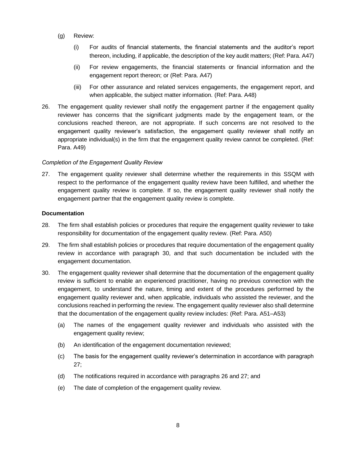- (g) Review:
	- (i) For audits of financial statements, the financial statements and the auditor's report thereon, including, if applicable, the description of the key audit matters; (Ref: Para. A47)
	- (ii) For review engagements, the financial statements or financial information and the engagement report thereon; or (Ref: Para. A47)
	- (iii) For other assurance and related services engagements, the engagement report, and when applicable, the subject matter information. (Ref: Para. A48)
- 26. The engagement quality reviewer shall notify the engagement partner if the engagement quality reviewer has concerns that the significant judgments made by the engagement team, or the conclusions reached thereon, are not appropriate. If such concerns are not resolved to the engagement quality reviewer's satisfaction, the engagement quality reviewer shall notify an appropriate individual(s) in the firm that the engagement quality review cannot be completed. (Ref: Para. A49)

#### *Completion of the Engagement Quality Review*

27. The engagement quality reviewer shall determine whether the requirements in this SSQM with respect to the performance of the engagement quality review have been fulfilled, and whether the engagement quality review is complete. If so, the engagement quality reviewer shall notify the engagement partner that the engagement quality review is complete.

#### **Documentation**

- 28. The firm shall establish policies or procedures that require the engagement quality reviewer to take responsibility for documentation of the engagement quality review. (Ref: Para. A50)
- 29. The firm shall establish policies or procedures that require documentation of the engagement quality review in accordance with paragraph 30, and that such documentation be included with the engagement documentation.
- 30. The engagement quality reviewer shall determine that the documentation of the engagement quality review is sufficient to enable an experienced practitioner, having no previous connection with the engagement, to understand the nature, timing and extent of the procedures performed by the engagement quality reviewer and, when applicable, individuals who assisted the reviewer, and the conclusions reached in performing the review. The engagement quality reviewer also shall determine that the documentation of the engagement quality review includes: (Ref: Para. A51–A53)
	- (a) The names of the engagement quality reviewer and individuals who assisted with the engagement quality review;
	- (b) An identification of the engagement documentation reviewed;
	- (c) The basis for the engagement quality reviewer's determination in accordance with paragraph 27;
	- (d) The notifications required in accordance with paragraphs 26 and 27; and
	- (e) The date of completion of the engagement quality review.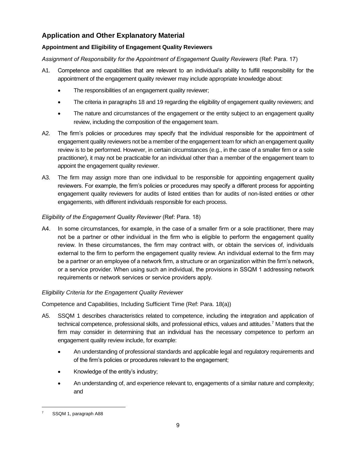# **Application and Other Explanatory Material**

## **Appointment and Eligibility of Engagement Quality Reviewers**

*Assignment of Responsibility for the Appointment of Engagement Quality Reviewers* (Ref: Para. 17)

- A1. Competence and capabilities that are relevant to an individual's ability to fulfill responsibility for the appointment of the engagement quality reviewer may include appropriate knowledge about:
	- The responsibilities of an engagement quality reviewer;
	- The criteria in paragraphs 18 and 19 regarding the eligibility of engagement quality reviewers; and
	- The nature and circumstances of the engagement or the entity subject to an engagement quality review, including the composition of the engagement team.
- A2. The firm's policies or procedures may specify that the individual responsible for the appointment of engagement quality reviewers not be a member of the engagement team for which an engagement quality review is to be performed. However, in certain circumstances (e.g., in the case of a smaller firm or a sole practitioner), it may not be practicable for an individual other than a member of the engagement team to appoint the engagement quality reviewer.
- A3. The firm may assign more than one individual to be responsible for appointing engagement quality reviewers. For example, the firm's policies or procedures may specify a different process for appointing engagement quality reviewers for audits of listed entities than for audits of non-listed entities or other engagements, with different individuals responsible for each process.

## *Eligibility of the Engagement Quality Reviewer* (Ref: Para. 18)

A4. In some circumstances, for example, in the case of a smaller firm or a sole practitioner, there may not be a partner or other individual in the firm who is eligible to perform the engagement quality review. In these circumstances, the firm may contract with, or obtain the services of, individuals external to the firm to perform the engagement quality review. An individual external to the firm may be a partner or an employee of a network firm, a structure or an organization within the firm's network, or a service provider. When using such an individual, the provisions in SSQM 1 addressing network requirements or network services or service providers apply.

## *Eligibility Criteria for the Engagement Quality Reviewer*

Competence and Capabilities, Including Sufficient Time (Ref: Para. 18(a))

- A5. SSQM 1 describes characteristics related to competence, including the integration and application of technical competence, professional skills, and professional ethics, values and attitudes.<sup>7</sup> Matters that the firm may consider in determining that an individual has the necessary competence to perform an engagement quality review include, for example:
	- An understanding of professional standards and applicable legal and regulatory requirements and of the firm's policies or procedures relevant to the engagement;
	- Knowledge of the entity's industry;
	- An understanding of, and experience relevant to, engagements of a similar nature and complexity; and

SSQM 1, paragraph A88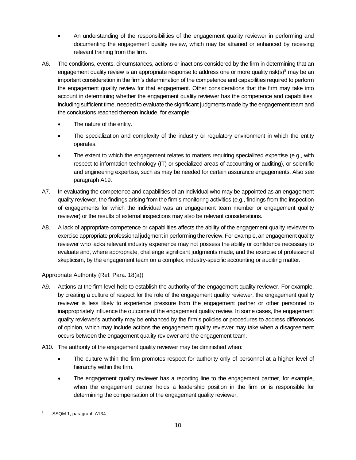- An understanding of the responsibilities of the engagement quality reviewer in performing and documenting the engagement quality review, which may be attained or enhanced by receiving relevant training from the firm.
- A6. The conditions, events, circumstances, actions or inactions considered by the firm in determining that an engagement quality review is an appropriate response to address one or more quality risk(s) $8$  may be an important consideration in the firm's determination of the competence and capabilities required to perform the engagement quality review for that engagement. Other considerations that the firm may take into account in determining whether the engagement quality reviewer has the competence and capabilities, including sufficient time, needed to evaluate the significant judgments made by the engagement team and the conclusions reached thereon include, for example:
	- The nature of the entity.
	- The specialization and complexity of the industry or regulatory environment in which the entity operates.
	- The extent to which the engagement relates to matters requiring specialized expertise (e.g., with respect to information technology (IT) or specialized areas of accounting or auditing), or scientific and engineering expertise, such as may be needed for certain assurance engagements. Also see paragraph A19.
- A7. In evaluating the competence and capabilities of an individual who may be appointed as an engagement quality reviewer, the findings arising from the firm's monitoring activities (e.g., findings from the inspection of engagements for which the individual was an engagement team member or engagement quality reviewer) or the results of external inspections may also be relevant considerations.
- A8. A lack of appropriate competence or capabilities affects the ability of the engagement quality reviewer to exercise appropriate professional judgment in performing the review. For example, an engagement quality reviewer who lacks relevant industry experience may not possess the ability or confidence necessary to evaluate and, where appropriate, challenge significant judgments made, and the exercise of professional skepticism, by the engagement team on a complex, industry-specific accounting or auditing matter.

## Appropriate Authority (Ref: Para. 18(a))

- A9. Actions at the firm level help to establish the authority of the engagement quality reviewer. For example, by creating a culture of respect for the role of the engagement quality reviewer, the engagement quality reviewer is less likely to experience pressure from the engagement partner or other personnel to inappropriately influence the outcome of the engagement quality review. In some cases, the engagement quality reviewer's authority may be enhanced by the firm's policies or procedures to address differences of opinion, which may include actions the engagement quality reviewer may take when a disagreement occurs between the engagement quality reviewer and the engagement team.
- A10. The authority of the engagement quality reviewer may be diminished when:
	- The culture within the firm promotes respect for authority only of personnel at a higher level of hierarchy within the firm.
	- The engagement quality reviewer has a reporting line to the engagement partner, for example, when the engagement partner holds a leadership position in the firm or is responsible for determining the compensation of the engagement quality reviewer.

<sup>8</sup> SSQM 1, paragraph A134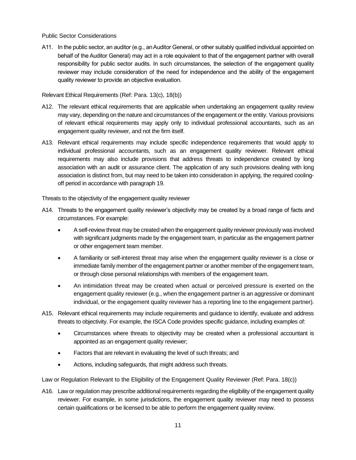Public Sector Considerations

A11. In the public sector, an auditor (e.g., an Auditor General, or other suitably qualified individual appointed on behalf of the Auditor General) may act in a role equivalent to that of the engagement partner with overall responsibility for public sector audits. In such circumstances, the selection of the engagement quality reviewer may include consideration of the need for independence and the ability of the engagement quality reviewer to provide an objective evaluation.

Relevant Ethical Requirements (Ref: Para. 13(c), 18(b))

- A12. The relevant ethical requirements that are applicable when undertaking an engagement quality review may vary, depending on the nature and circumstances of the engagement or the entity. Various provisions of relevant ethical requirements may apply only to individual professional accountants, such as an engagement quality reviewer, and not the firm itself.
- A13. Relevant ethical requirements may include specific independence requirements that would apply to individual professional accountants, such as an engagement quality reviewer. Relevant ethical requirements may also include provisions that address threats to independence created by long association with an audit or assurance client. The application of any such provisions dealing with long association is distinct from, but may need to be taken into consideration in applying, the required coolingoff period in accordance with paragraph 19.

Threats to the objectivity of the engagement quality reviewer

- A14. Threats to the engagement quality reviewer's objectivity may be created by a broad range of facts and circumstances. For example:
	- A self-review threat may be created when the engagement quality reviewer previously was involved with significant judgments made by the engagement team, in particular as the engagement partner or other engagement team member.
	- A familiarity or self-interest threat may arise when the engagement quality reviewer is a close or immediate family member of the engagement partner or another member of the engagement team, or through close personal relationships with members of the engagement team.
	- An intimidation threat may be created when actual or perceived pressure is exerted on the engagement quality reviewer (e.g., when the engagement partner is an aggressive or dominant individual, or the engagement quality reviewer has a reporting line to the engagement partner).
- A15. Relevant ethical requirements may include requirements and guidance to identify, evaluate and address threats to objectivity. For example, the ISCA Code provides specific guidance, including examples of:
	- Circumstances where threats to objectivity may be created when a professional accountant is appointed as an engagement quality reviewer;
	- Factors that are relevant in evaluating the level of such threats; and
	- Actions, including safeguards, that might address such threats.

Law or Regulation Relevant to the Eligibility of the Engagement Quality Reviewer (Ref: Para. 18(c))

A16. Law or regulation may prescribe additional requirements regarding the eligibility of the engagement quality reviewer. For example, in some jurisdictions, the engagement quality reviewer may need to possess certain qualifications or be licensed to be able to perform the engagement quality review.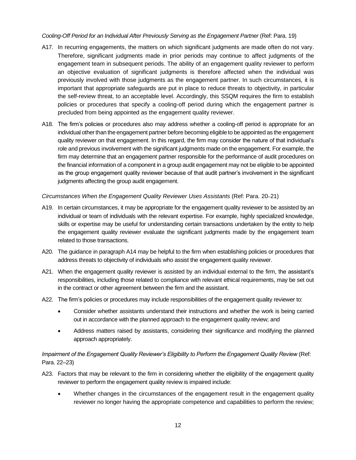#### *Cooling-Off Period for an Individual After Previously Serving as the Engagement Partner* (Ref: Para. 19)

- A17. In recurring engagements, the matters on which significant judgments are made often do not vary. Therefore, significant judgments made in prior periods may continue to affect judgments of the engagement team in subsequent periods. The ability of an engagement quality reviewer to perform an objective evaluation of significant judgments is therefore affected when the individual was previously involved with those judgments as the engagement partner. In such circumstances, it is important that appropriate safeguards are put in place to reduce threats to objectivity, in particular the self-review threat, to an acceptable level. Accordingly, this SSQM requires the firm to establish policies or procedures that specify a cooling-off period during which the engagement partner is precluded from being appointed as the engagement quality reviewer.
- A18. The firm's policies or procedures also may address whether a cooling-off period is appropriate for an individual other than the engagement partner before becoming eligible to be appointed as the engagement quality reviewer on that engagement. In this regard, the firm may consider the nature of that individual's role and previous involvement with the significant judgments made on the engagement. For example, the firm may determine that an engagement partner responsible for the performance of audit procedures on the financial information of a component in a group audit engagement may not be eligible to be appointed as the group engagement quality reviewer because of that audit partner's involvement in the significant judgments affecting the group audit engagement.

#### *Circumstances When the Engagement Quality Reviewer Uses Assistants* (Ref: Para. 20–21)

- A19. In certain circumstances, it may be appropriate for the engagement quality reviewer to be assisted by an individual or team of individuals with the relevant expertise. For example, highly specialized knowledge, skills or expertise may be useful for understanding certain transactions undertaken by the entity to help the engagement quality reviewer evaluate the significant judgments made by the engagement team related to those transactions.
- A20. The guidance in paragraph A14 may be helpful to the firm when establishing policies or procedures that address threats to objectivity of individuals who assist the engagement quality reviewer.
- A21. When the engagement quality reviewer is assisted by an individual external to the firm, the assistant's responsibilities, including those related to compliance with relevant ethical requirements, may be set out in the contract or other agreement between the firm and the assistant.
- A22. The firm's policies or procedures may include responsibilities of the engagement quality reviewer to:
	- Consider whether assistants understand their instructions and whether the work is being carried out in accordance with the planned approach to the engagement quality review; and
	- Address matters raised by assistants, considering their significance and modifying the planned approach appropriately.

## *Impairment of the Engagement Quality Reviewer's Eligibility to Perform the Engagement Quality Review (Ref:* Para. 22–23)

- A23. Factors that may be relevant to the firm in considering whether the eligibility of the engagement quality reviewer to perform the engagement quality review is impaired include:
	- Whether changes in the circumstances of the engagement result in the engagement quality reviewer no longer having the appropriate competence and capabilities to perform the review;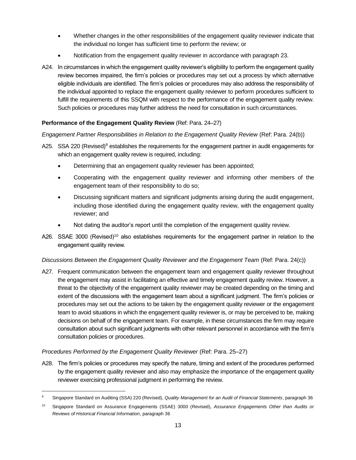- Whether changes in the other responsibilities of the engagement quality reviewer indicate that the individual no longer has sufficient time to perform the review; or
- Notification from the engagement quality reviewer in accordance with paragraph 23.
- A24. In circumstances in which the engagement quality reviewer's eligibility to perform the engagement quality review becomes impaired, the firm's policies or procedures may set out a process by which alternative eligible individuals are identified. The firm's policies or procedures may also address the responsibility of the individual appointed to replace the engagement quality reviewer to perform procedures sufficient to fulfill the requirements of this SSQM with respect to the performance of the engagement quality review. Such policies or procedures may further address the need for consultation in such circumstances.

## **Performance of the Engagement Quality Review** (Ref: Para. 24–27)

#### *Engagement Partner Responsibilities in Relation to the Engagement Quality Review (Ref: Para. 24(b))*

- A25. SSA 220 (Revised)<sup>9</sup> establishes the requirements for the engagement partner in audit engagements for which an engagement quality review is required, including:
	- Determining that an engagement quality reviewer has been appointed;
	- Cooperating with the engagement quality reviewer and informing other members of the engagement team of their responsibility to do so;
	- Discussing significant matters and significant judgments arising during the audit engagement, including those identified during the engagement quality review, with the engagement quality reviewer; and
	- Not dating the auditor's report until the completion of the engagement quality review.
- A26. SSAE 3000 (Revised)<sup>10</sup> also establishes requirements for the engagement partner in relation to the engagement quality review.

#### *Discussions Between the Engagement Quality Reviewer and the Engagement Team* (Ref: Para. 24(c))

A27. Frequent communication between the engagement team and engagement quality reviewer throughout the engagement may assist in facilitating an effective and timely engagement quality review. However, a threat to the objectivity of the engagement quality reviewer may be created depending on the timing and extent of the discussions with the engagement team about a significant judgment. The firm's policies or procedures may set out the actions to be taken by the engagement quality reviewer or the engagement team to avoid situations in which the engagement quality reviewer is, or may be perceived to be, making decisions on behalf of the engagement team. For example, in these circumstances the firm may require consultation about such significant judgments with other relevant personnel in accordance with the firm's consultation policies or procedures.

#### *Procedures Performed by the Engagement Quality Reviewer (Ref: Para. 25–27)*

A28. The firm's policies or procedures may specify the nature, timing and extent of the procedures performed by the engagement quality reviewer and also may emphasize the importance of the engagement quality reviewer exercising professional judgment in performing the review.

<sup>9</sup> Singapore Standard on Auditing (SSA) 220 (Revised), *Quality Management for an Audit of Financial Statements*, paragraph 36

<sup>10</sup> Singapore Standard on Assurance Engagements (SSAE) 3000 (Revised), *Assurance Engagements Other than Audits or Reviews of Historical Financial Information*, paragraph 36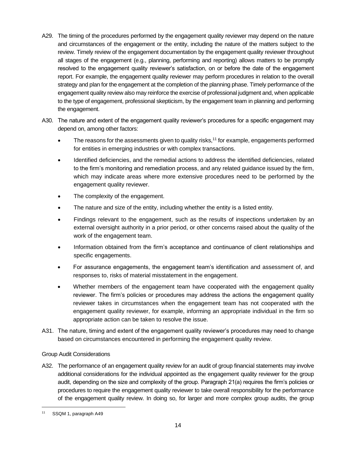- A29. The timing of the procedures performed by the engagement quality reviewer may depend on the nature and circumstances of the engagement or the entity, including the nature of the matters subject to the review. Timely review of the engagement documentation by the engagement quality reviewer throughout all stages of the engagement (e.g., planning, performing and reporting) allows matters to be promptly resolved to the engagement quality reviewer's satisfaction, on or before the date of the engagement report. For example, the engagement quality reviewer may perform procedures in relation to the overall strategy and plan for the engagement at the completion of the planning phase. Timely performance of the engagement quality review also may reinforce the exercise of professional judgment and, when applicable to the type of engagement, professional skepticism, by the engagement team in planning and performing the engagement.
- A30. The nature and extent of the engagement quality reviewer's procedures for a specific engagement may depend on, among other factors:
	- The reasons for the assessments given to quality risks,<sup>11</sup> for example, engagements performed for entities in emerging industries or with complex transactions.
	- Identified deficiencies, and the remedial actions to address the identified deficiencies, related to the firm's monitoring and remediation process, and any related guidance issued by the firm, which may indicate areas where more extensive procedures need to be performed by the engagement quality reviewer.
	- The complexity of the engagement.
	- The nature and size of the entity, including whether the entity is a listed entity.
	- Findings relevant to the engagement, such as the results of inspections undertaken by an external oversight authority in a prior period, or other concerns raised about the quality of the work of the engagement team.
	- Information obtained from the firm's acceptance and continuance of client relationships and specific engagements.
	- For assurance engagements, the engagement team's identification and assessment of, and responses to, risks of material misstatement in the engagement.
	- Whether members of the engagement team have cooperated with the engagement quality reviewer. The firm's policies or procedures may address the actions the engagement quality reviewer takes in circumstances when the engagement team has not cooperated with the engagement quality reviewer, for example, informing an appropriate individual in the firm so appropriate action can be taken to resolve the issue.
- A31. The nature, timing and extent of the engagement quality reviewer's procedures may need to change based on circumstances encountered in performing the engagement quality review.

#### Group Audit Considerations

A32. The performance of an engagement quality review for an audit of group financial statements may involve additional considerations for the individual appointed as the engagement quality reviewer for the group audit, depending on the size and complexity of the group. Paragraph 21(a) requires the firm's policies or procedures to require the engagement quality reviewer to take overall responsibility for the performance of the engagement quality review. In doing so, for larger and more complex group audits, the group

<sup>11</sup> SSQM 1, paragraph A49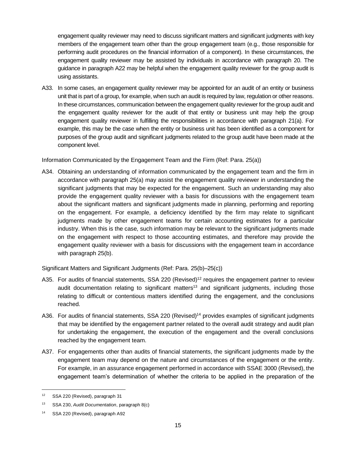engagement quality reviewer may need to discuss significant matters and significant judgments with key members of the engagement team other than the group engagement team (e.g., those responsible for performing audit procedures on the financial information of a component). In these circumstances, the engagement quality reviewer may be assisted by individuals in accordance with paragraph 20. The guidance in paragraph A22 may be helpful when the engagement quality reviewer for the group audit is using assistants.

A33. In some cases, an engagement quality reviewer may be appointed for an audit of an entity or business unit that is part of a group, for example, when such an audit is required by law, regulation or other reasons. In these circumstances, communication between the engagement quality reviewer for the group audit and the engagement quality reviewer for the audit of that entity or business unit may help the group engagement quality reviewer in fulfilling the responsibilities in accordance with paragraph 21(a). For example, this may be the case when the entity or business unit has been identified as a component for purposes of the group audit and significant judgments related to the group audit have been made at the component level.

Information Communicated by the Engagement Team and the Firm (Ref: Para. 25(a))

A34. Obtaining an understanding of information communicated by the engagement team and the firm in accordance with paragraph 25(a) may assist the engagement quality reviewer in understanding the significant judgments that may be expected for the engagement. Such an understanding may also provide the engagement quality reviewer with a basis for discussions with the engagement team about the significant matters and significant judgments made in planning, performing and reporting on the engagement. For example, a deficiency identified by the firm may relate to significant judgments made by other engagement teams for certain accounting estimates for a particular industry. When this is the case, such information may be relevant to the significant judgments made on the engagement with respect to those accounting estimates, and therefore may provide the engagement quality reviewer with a basis for discussions with the engagement team in accordance with paragraph 25(b).

Significant Matters and Significant Judgments (Ref: Para. 25(b)–25(c))

- A35. For audits of financial statements, SSA 220 (Revised)<sup>12</sup> requires the engagement partner to review audit documentation relating to significant matters<sup>13</sup> and significant judgments, including those relating to difficult or contentious matters identified during the engagement, and the conclusions reached.
- A36. For audits of financial statements, SSA 220 (Revised)<sup>14</sup> provides examples of significant judgments that may be identified by the engagement partner related to the overall audit strategy and audit plan for undertaking the engagement, the execution of the engagement and the overall conclusions reached by the engagement team.
- A37. For engagements other than audits of financial statements, the significant judgments made by the engagement team may depend on the nature and circumstances of the engagement or the entity. For example, in an assurance engagement performed in accordance with SSAE 3000 (Revised), the engagement team's determination of whether the criteria to be applied in the preparation of the

<sup>&</sup>lt;sup>12</sup> SSA 220 (Revised), paragraph 31

<sup>13</sup> SSA 230, *Audit Documentation*, paragraph 8(c)

<sup>14</sup> SSA 220 (Revised), paragraph A92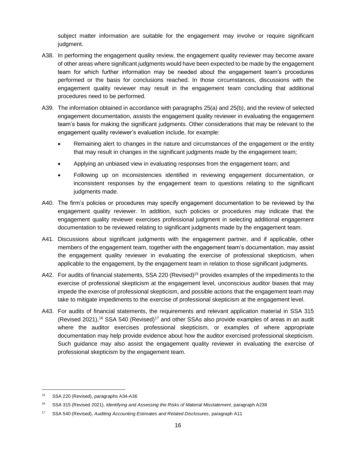subject matter information are suitable for the engagement may involve or require significant judgment.

- A38. In performing the engagement quality review, the engagement quality reviewer may become aware of other areas where significant judgments would have been expected to be made by the engagement team for which further information may be needed about the engagement team's procedures performed or the basis for conclusions reached. In those circumstances, discussions with the engagement quality reviewer may result in the engagement team concluding that additional procedures need to be performed.
- A39. The information obtained in accordance with paragraphs 25(a) and 25(b), and the review of selected engagement documentation, assists the engagement quality reviewer in evaluating the engagement team's basis for making the significant judgments. Other considerations that may be relevant to the engagement quality reviewer's evaluation include, for example:
	- Remaining alert to changes in the nature and circumstances of the engagement or the entity that may result in changes in the significant judgments made by the engagement team;
	- Applying an unbiased view in evaluating responses from the engagement team; and
	- Following up on inconsistencies identified in reviewing engagement documentation, or inconsistent responses by the engagement team to questions relating to the significant judgments made.
- A40. The firm's policies or procedures may specify engagement documentation to be reviewed by the engagement quality reviewer. In addition, such policies or procedures may indicate that the engagement quality reviewer exercises professional judgment in selecting additional engagement documentation to be reviewed relating to significant judgments made by the engagement team.
- A41. Discussions about significant judgments with the engagement partner, and if applicable, other members of the engagement team, together with the engagement team's documentation, may assist the engagement quality reviewer in evaluating the exercise of professional skepticism, when applicable to the engagement, by the engagement team in relation to those significant judgments.
- A42. For audits of financial statements, SSA 220 (Revised)<sup>15</sup> provides examples of the impediments to the exercise of professional skepticism at the engagement level, unconscious auditor biases that may impede the exercise of professional skepticism, and possible actions that the engagement team may take to mitigate impediments to the exercise of professional skepticism at the engagement level.
- A43. For audits of financial statements, the requirements and relevant application material in SSA 315 (Revised 2021),<sup>16</sup> SSA 540 (Revised)<sup>17</sup> and other SSAs also provide examples of areas in an audit where the auditor exercises professional skepticism, or examples of where appropriate documentation may help provide evidence about how the auditor exercised professional skepticism. Such guidance may also assist the engagement quality reviewer in evaluating the exercise of professional skepticism by the engagement team.

<sup>15</sup> SSA 220 (Revised), paragraphs A34-A36

<sup>16</sup> SSA 315 (Revised 2021), *Identifying and Assessing the Risks of Material Misstatement*, paragraph A238

<sup>17</sup> SSA 540 (Revised), *Auditing Accounting Estimates and Related Disclosures*, paragraph A11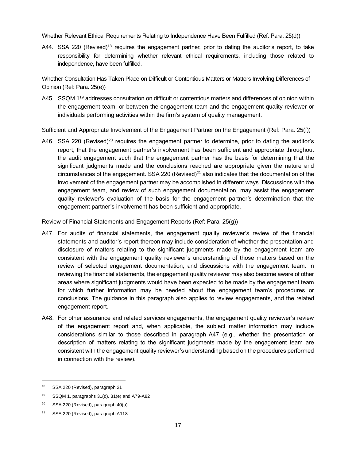Whether Relevant Ethical Requirements Relating to Independence Have Been Fulfilled (Ref: Para. 25(d))

A44. SSA 220 (Revised)<sup>18</sup> requires the engagement partner, prior to dating the auditor's report, to take responsibility for determining whether relevant ethical requirements, including those related to independence, have been fulfilled.

Whether Consultation Has Taken Place on Difficult or Contentious Matters or Matters Involving Differences of Opinion (Ref: Para. 25(e))

A45. SSQM 1<sup>19</sup> addresses consultation on difficult or contentious matters and differences of opinion within the engagement team, or between the engagement team and the engagement quality reviewer or individuals performing activities within the firm's system of quality management.

Sufficient and Appropriate Involvement of the Engagement Partner on the Engagement (Ref: Para. 25(f))

A46. SSA 220 (Revised)<sup>20</sup> requires the engagement partner to determine, prior to dating the auditor's report, that the engagement partner's involvement has been sufficient and appropriate throughout the audit engagement such that the engagement partner has the basis for determining that the significant judgments made and the conclusions reached are appropriate given the nature and circumstances of the engagement. SSA 220 (Revised)<sup>21</sup> also indicates that the documentation of the involvement of the engagement partner may be accomplished in different ways. Discussions with the engagement team, and review of such engagement documentation, may assist the engagement quality reviewer's evaluation of the basis for the engagement partner's determination that the engagement partner's involvement has been sufficient and appropriate.

Review of Financial Statements and Engagement Reports (Ref: Para. 25(g))

- A47. For audits of financial statements, the engagement quality reviewer's review of the financial statements and auditor's report thereon may include consideration of whether the presentation and disclosure of matters relating to the significant judgments made by the engagement team are consistent with the engagement quality reviewer's understanding of those matters based on the review of selected engagement documentation, and discussions with the engagement team. In reviewing the financial statements, the engagement quality reviewer may also become aware of other areas where significant judgments would have been expected to be made by the engagement team for which further information may be needed about the engagement team's procedures or conclusions. The guidance in this paragraph also applies to review engagements, and the related engagement report.
- A48. For other assurance and related services engagements, the engagement quality reviewer's review of the engagement report and, when applicable, the subject matter information may include considerations similar to those described in paragraph A47 (e.g., whether the presentation or description of matters relating to the significant judgments made by the engagement team are consistent with the engagement quality reviewer's understanding based on the procedures performed in connection with the review).

<sup>18</sup> SSA 220 (Revised), paragraph 21

<sup>19</sup> SSQM 1, paragraphs 31(d), 31(e) and A79-A82

<sup>&</sup>lt;sup>20</sup> SSA 220 (Revised), paragraph  $40(a)$ 

<sup>&</sup>lt;sup>21</sup> SSA 220 (Revised), paragraph A118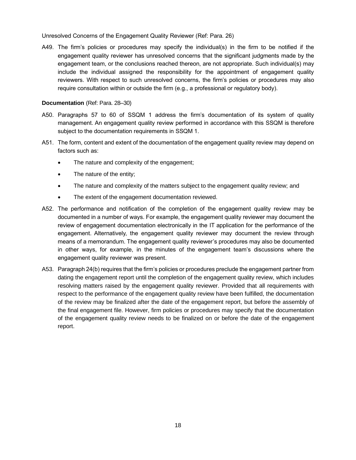Unresolved Concerns of the Engagement Quality Reviewer (Ref: Para. 26)

A49. The firm's policies or procedures may specify the individual(s) in the firm to be notified if the engagement quality reviewer has unresolved concerns that the significant judgments made by the engagement team, or the conclusions reached thereon, are not appropriate. Such individual(s) may include the individual assigned the responsibility for the appointment of engagement quality reviewers. With respect to such unresolved concerns, the firm's policies or procedures may also require consultation within or outside the firm (e.g., a professional or regulatory body).

#### **Documentation** (Ref: Para. 28–30)

- A50. Paragraphs 57 to 60 of SSQM 1 address the firm's documentation of its system of quality management. An engagement quality review performed in accordance with this SSQM is therefore subject to the documentation requirements in SSQM 1.
- A51. The form, content and extent of the documentation of the engagement quality review may depend on factors such as:
	- The nature and complexity of the engagement;
	- The nature of the entity;
	- The nature and complexity of the matters subject to the engagement quality review; and
	- The extent of the engagement documentation reviewed.
- A52. The performance and notification of the completion of the engagement quality review may be documented in a number of ways. For example, the engagement quality reviewer may document the review of engagement documentation electronically in the IT application for the performance of the engagement. Alternatively, the engagement quality reviewer may document the review through means of a memorandum. The engagement quality reviewer's procedures may also be documented in other ways, for example, in the minutes of the engagement team's discussions where the engagement quality reviewer was present.
- A53. Paragraph 24(b) requires that the firm's policies or procedures preclude the engagement partner from dating the engagement report until the completion of the engagement quality review, which includes resolving matters raised by the engagement quality reviewer. Provided that all requirements with respect to the performance of the engagement quality review have been fulfilled, the documentation of the review may be finalized after the date of the engagement report, but before the assembly of the final engagement file. However, firm policies or procedures may specify that the documentation of the engagement quality review needs to be finalized on or before the date of the engagement report.